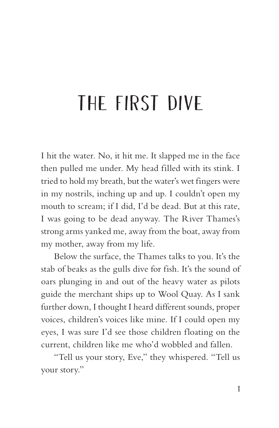## THE FIRST DIVE

I hit the water. No, it hit me. It slapped me in the face then pulled me under. My head filled with its stink. I tried to hold my breath, but the water's wet fingers were in my nostrils, inching up and up. I couldn't open my mouth to scream; if I did, I'd be dead. But at this rate, I was going to be dead anyway. The River Thames's strong arms yanked me, away from the boat, away from my mother, away from my life.

Below the surface, the Thames talks to you. It's the stab of beaks as the gulls dive for fish. It's the sound of oars plunging in and out of the heavy water as pilots guide the merchant ships up to Wool Quay. As I sank further down, I thought I heard different sounds, proper voices, children's voices like mine. If I could open my eyes, I was sure I'd see those children floating on the current, children like me who'd wobbled and fallen.

"Tell us your story, Eve," they whispered. "Tell us your story."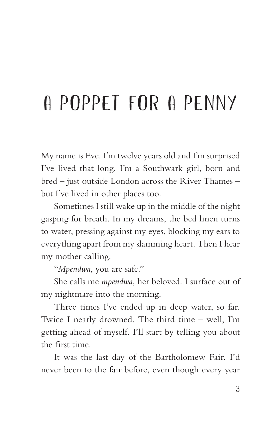## A POPPET FOR A PENNY

My name is Eve. I'm twelve years old and I'm surprised I've lived that long. I'm a Southwark girl, born and bred – just outside London across the River Thames – but I've lived in other places too.

Sometimes I still wake up in the middle of the night gasping for breath. In my dreams, the bed linen turns to water, pressing against my eyes, blocking my ears to everything apart from my slamming heart. Then I hear my mother calling.

"*Mpendwa*, you are safe."

She calls me *mpendwa*, her beloved. I surface out of my nightmare into the morning.

Three times I've ended up in deep water, so far. Twice I nearly drowned. The third time – well, I'm getting ahead of myself. I'll start by telling you about the first time.

It was the last day of the Bartholomew Fair. I'd never been to the fair before, even though every year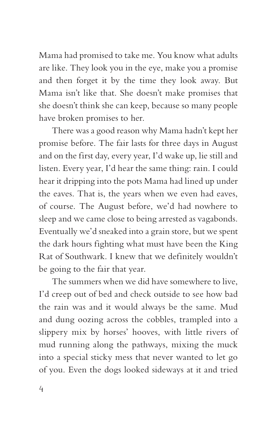Mama had promised to take me. You know what adults are like. They look you in the eye, make you a promise and then forget it by the time they look away. But Mama isn't like that. She doesn't make promises that she doesn't think she can keep, because so many people have broken promises to her.

There was a good reason why Mama hadn't kept her promise before. The fair lasts for three days in August and on the first day, every year, I'd wake up, lie still and listen. Every year, I'd hear the same thing: rain. I could hear it dripping into the pots Mama had lined up under the eaves. That is, the years when we even had eaves, of course. The August before, we'd had nowhere to sleep and we came close to being arrested as vagabonds. Eventually we'd sneaked into a grain store, but we spent the dark hours fighting what must have been the King Rat of Southwark. I knew that we definitely wouldn't be going to the fair that year.

The summers when we did have somewhere to live, I'd creep out of bed and check outside to see how bad the rain was and it would always be the same. Mud and dung oozing across the cobbles, trampled into a slippery mix by horses' hooves, with little rivers of mud running along the pathways, mixing the muck into a special sticky mess that never wanted to let go of you. Even the dogs looked sideways at it and tried

4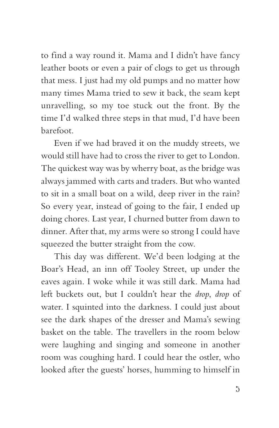to find a way round it. Mama and I didn't have fancy leather boots or even a pair of clogs to get us through that mess. I just had my old pumps and no matter how many times Mama tried to sew it back, the seam kept unravelling, so my toe stuck out the front. By the time I'd walked three steps in that mud, I'd have been barefoot.

Even if we had braved it on the muddy streets, we would still have had to cross the river to get to London. The quickest way was by wherry boat, as the bridge was always jammed with carts and traders. But who wanted to sit in a small boat on a wild, deep river in the rain? So every year, instead of going to the fair, I ended up doing chores. Last year, I churned butter from dawn to dinner. After that, my arms were so strong I could have squeezed the butter straight from the cow.

This day was different. We'd been lodging at the Boar's Head, an inn off Tooley Street, up under the eaves again. I woke while it was still dark. Mama had left buckets out, but I couldn't hear the *drop*, *drop* of water. I squinted into the darkness. I could just about see the dark shapes of the dresser and Mama's sewing basket on the table. The travellers in the room below were laughing and singing and someone in another room was coughing hard. I could hear the ostler, who looked after the guests' horses, humming to himself in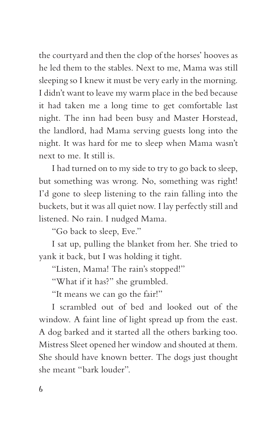the courtyard and then the clop of the horses' hooves as he led them to the stables. Next to me, Mama was still sleeping so I knew it must be very early in the morning. I didn't want to leave my warm place in the bed because it had taken me a long time to get comfortable last night. The inn had been busy and Master Horstead, the landlord, had Mama serving guests long into the night. It was hard for me to sleep when Mama wasn't next to me. It still is.

I had turned on to my side to try to go back to sleep, but something was wrong. No, something was right! I'd gone to sleep listening to the rain falling into the buckets, but it was all quiet now. I lay perfectly still and listened. No rain. I nudged Mama.

"Go back to sleep, Eve."

I sat up, pulling the blanket from her. She tried to yank it back, but I was holding it tight.

"Listen, Mama! The rain's stopped!"

"What if it has?" she grumbled.

"It means we can go the fair!"

I scrambled out of bed and looked out of the window. A faint line of light spread up from the east. A dog barked and it started all the others barking too. Mistress Sleet opened her window and shouted at them. She should have known better. The dogs just thought she meant "bark louder".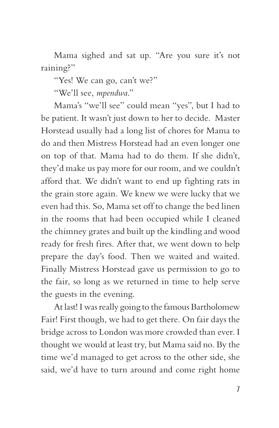Mama sighed and sat up. "Are you sure it's not raining?"

"Yes! We can go, can't we?"

"We'll see, *mpendwa*."

Mama's "we'll see" could mean "yes", but I had to be patient. It wasn't just down to her to decide. Master Horstead usually had a long list of chores for Mama to do and then Mistress Horstead had an even longer one on top of that. Mama had to do them. If she didn't, they'd make us pay more for our room, and we couldn't afford that. We didn't want to end up fighting rats in the grain store again. We knew we were lucky that we even had this. So, Mama set off to change the bed linen in the rooms that had been occupied while I cleaned the chimney grates and built up the kindling and wood ready for fresh fires. After that, we went down to help prepare the day's food. Then we waited and waited. Finally Mistress Horstead gave us permission to go to the fair, so long as we returned in time to help serve the guests in the evening.

At last! I was really going to the famous Bartholomew Fair! First though, we had to get there. On fair days the bridge across to London was more crowded than ever. I thought we would at least try, but Mama said no. By the time we'd managed to get across to the other side, she said, we'd have to turn around and come right home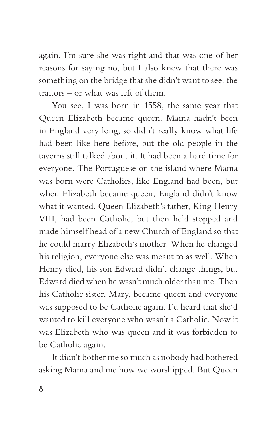again. I'm sure she was right and that was one of her reasons for saying no, but I also knew that there was something on the bridge that she didn't want to see: the traitors – or what was left of them.

You see, I was born in 1558, the same year that Queen Elizabeth became queen. Mama hadn't been in England very long, so didn't really know what life had been like here before, but the old people in the taverns still talked about it. It had been a hard time for everyone. The Portuguese on the island where Mama was born were Catholics, like England had been, but when Elizabeth became queen, England didn't know what it wanted. Queen Elizabeth's father, King Henry VIII, had been Catholic, but then he'd stopped and made himself head of a new Church of England so that he could marry Elizabeth's mother. When he changed his religion, everyone else was meant to as well. When Henry died, his son Edward didn't change things, but Edward died when he wasn't much older than me. Then his Catholic sister, Mary, became queen and everyone was supposed to be Catholic again. I'd heard that she'd wanted to kill everyone who wasn't a Catholic. Now it was Elizabeth who was queen and it was forbidden to be Catholic again.

It didn't bother me so much as nobody had bothered asking Mama and me how we worshipped. But Queen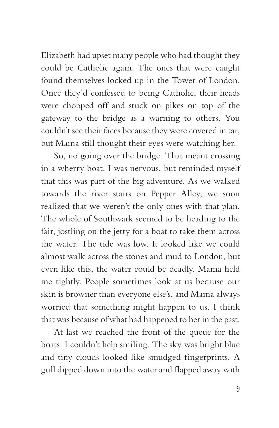Elizabeth had upset many people who had thought they could be Catholic again. The ones that were caught found themselves locked up in the Tower of London. Once they'd confessed to being Catholic, their heads were chopped off and stuck on pikes on top of the gateway to the bridge as a warning to others. You couldn't see their faces because they were covered in tar, but Mama still thought their eyes were watching her.

So, no going over the bridge. That meant crossing in a wherry boat. I was nervous, but reminded myself that this was part of the big adventure. As we walked towards the river stairs on Pepper Alley, we soon realized that we weren't the only ones with that plan. The whole of Southwark seemed to be heading to the fair, jostling on the jetty for a boat to take them across the water. The tide was low. It looked like we could almost walk across the stones and mud to London, but even like this, the water could be deadly. Mama held me tightly. People sometimes look at us because our skin is browner than everyone else's, and Mama always worried that something might happen to us. I think that was because of what had happened to her in the past.

At last we reached the front of the queue for the boats. I couldn't help smiling. The sky was bright blue and tiny clouds looked like smudged fingerprints. A gull dipped down into the water and flapped away with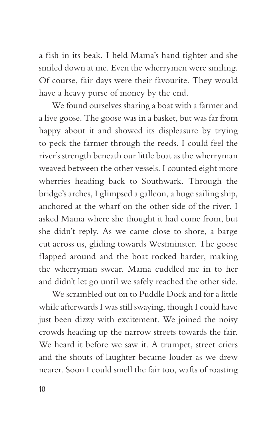a fish in its beak. I held Mama's hand tighter and she smiled down at me. Even the wherrymen were smiling. Of course, fair days were their favourite. They would have a heavy purse of money by the end.

We found ourselves sharing a boat with a farmer and a live goose. The goose was in a basket, but was far from happy about it and showed its displeasure by trying to peck the farmer through the reeds. I could feel the river's strength beneath our little boat as the wherryman weaved between the other vessels. I counted eight more wherries heading back to Southwark. Through the bridge's arches, I glimpsed a galleon, a huge sailing ship, anchored at the wharf on the other side of the river. I asked Mama where she thought it had come from, but she didn't reply. As we came close to shore, a barge cut across us, gliding towards Westminster. The goose flapped around and the boat rocked harder, making the wherryman swear. Mama cuddled me in to her and didn't let go until we safely reached the other side.

We scrambled out on to Puddle Dock and for a little while afterwards I was still swaying, though I could have just been dizzy with excitement. We joined the noisy crowds heading up the narrow streets towards the fair. We heard it before we saw it. A trumpet, street criers and the shouts of laughter became louder as we drew nearer. Soon I could smell the fair too, wafts of roasting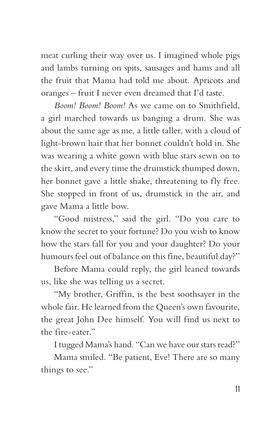meat curling their way over us. I imagined whole pigs and lambs turning on spits, sausages and hams and all the fruit that Mama had told me about. Apricots and oranges – fruit I never even dreamed that I'd taste.

*Boom! Boom! Boom!* As we came on to Smithfield, a girl marched towards us banging a drum. She was about the same age as me, a little taller, with a cloud of light-brown hair that her bonnet couldn't hold in. She was wearing a white gown with blue stars sewn on to the skirt, and every time the drumstick thumped down, her bonnet gave a little shake, threatening to fly free. She stopped in front of us, drumstick in the air, and gave Mama a little bow.

"Good mistress," said the girl. "Do you care to know the secret to your fortune? Do you wish to know how the stars fall for you and your daughter? Do your humours feel out of balance on this fine, beautiful day?"

Before Mama could reply, the girl leaned towards us, like she was telling us a secret.

"My brother, Griffin, is the best soothsayer in the whole fair. He learned from the Queen's own favourite, the great John Dee himself. You will find us next to the fire-eater."

I tugged Mama's hand. "Can we have our stars read?"

Mama smiled. "Be patient, Eve! There are so many things to see."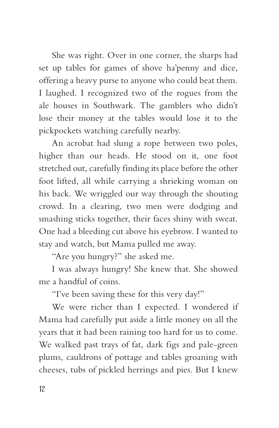She was right. Over in one corner, the sharps had set up tables for games of shove ha'penny and dice, offering a heavy purse to anyone who could beat them. I laughed. I recognized two of the rogues from the ale houses in Southwark. The gamblers who didn't lose their money at the tables would lose it to the pickpockets watching carefully nearby.

An acrobat had slung a rope between two poles, higher than our heads. He stood on it, one foot stretched out, carefully finding its place before the other foot lifted, all while carrying a shrieking woman on his back. We wriggled our way through the shouting crowd. In a clearing, two men were dodging and smashing sticks together, their faces shiny with sweat. One had a bleeding cut above his eyebrow. I wanted to stay and watch, but Mama pulled me away.

"Are you hungry?" she asked me.

I was always hungry! She knew that. She showed me a handful of coins.

"I've been saving these for this very day!"

We were richer than I expected. I wondered if Mama had carefully put aside a little money on all the years that it had been raining too hard for us to come. We walked past trays of fat, dark figs and pale-green plums, cauldrons of pottage and tables groaning with cheeses, tubs of pickled herrings and pies. But I knew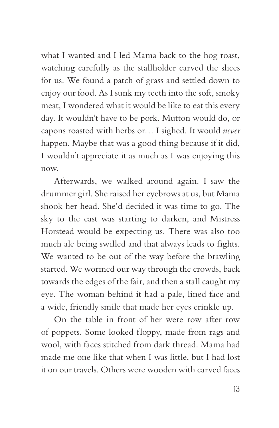what I wanted and I led Mama back to the hog roast, watching carefully as the stallholder carved the slices for us. We found a patch of grass and settled down to enjoy our food. As I sunk my teeth into the soft, smoky meat, I wondered what it would be like to eat this every day. It wouldn't have to be pork. Mutton would do, or capons roasted with herbs or… I sighed. It would *never* happen. Maybe that was a good thing because if it did, I wouldn't appreciate it as much as I was enjoying this now.

Afterwards, we walked around again. I saw the drummer girl. She raised her eyebrows at us, but Mama shook her head. She'd decided it was time to go. The sky to the east was starting to darken, and Mistress Horstead would be expecting us. There was also too much ale being swilled and that always leads to fights. We wanted to be out of the way before the brawling started. We wormed our way through the crowds, back towards the edges of the fair, and then a stall caught my eye. The woman behind it had a pale, lined face and a wide, friendly smile that made her eyes crinkle up.

On the table in front of her were row after row of poppets. Some looked floppy, made from rags and wool, with faces stitched from dark thread. Mama had made me one like that when I was little, but I had lost it on our travels. Others were wooden with carved faces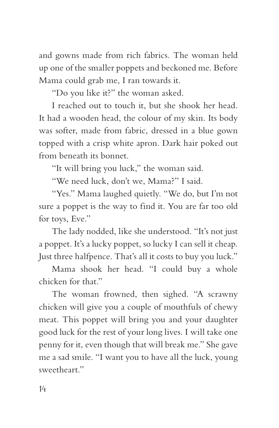and gowns made from rich fabrics. The woman held up one of the smaller poppets and beckoned me. Before Mama could grab me, I ran towards it.

"Do you like it?" the woman asked.

I reached out to touch it, but she shook her head. It had a wooden head, the colour of my skin. Its body was softer, made from fabric, dressed in a blue gown topped with a crisp white apron. Dark hair poked out from beneath its bonnet.

"It will bring you luck," the woman said.

"We need luck, don't we, Mama?" I said.

"Yes." Mama laughed quietly. "We do, but I'm not sure a poppet is the way to find it. You are far too old for toys, Eve."

The lady nodded, like she understood. "It's not just a poppet. It's a lucky poppet, so lucky I can sell it cheap. Just three halfpence. That's all it costs to buy you luck."

Mama shook her head. "I could buy a whole chicken for that."

The woman frowned, then sighed. "A scrawny chicken will give you a couple of mouthfuls of chewy meat. This poppet will bring you and your daughter good luck for the rest of your long lives. I will take one penny for it, even though that will break me." She gave me a sad smile. "I want you to have all the luck, young sweetheart."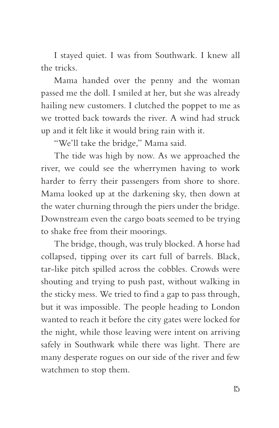I stayed quiet. I was from Southwark. I knew all the tricks.

Mama handed over the penny and the woman passed me the doll. I smiled at her, but she was already hailing new customers. I clutched the poppet to me as we trotted back towards the river. A wind had struck up and it felt like it would bring rain with it.

"We'll take the bridge," Mama said.

The tide was high by now. As we approached the river, we could see the wherrymen having to work harder to ferry their passengers from shore to shore. Mama looked up at the darkening sky, then down at the water churning through the piers under the bridge. Downstream even the cargo boats seemed to be trying to shake free from their moorings.

The bridge, though, was truly blocked. A horse had collapsed, tipping over its cart full of barrels. Black, tar-like pitch spilled across the cobbles. Crowds were shouting and trying to push past, without walking in the sticky mess. We tried to find a gap to pass through, but it was impossible. The people heading to London wanted to reach it before the city gates were locked for the night, while those leaving were intent on arriving safely in Southwark while there was light. There are many desperate rogues on our side of the river and few watchmen to stop them.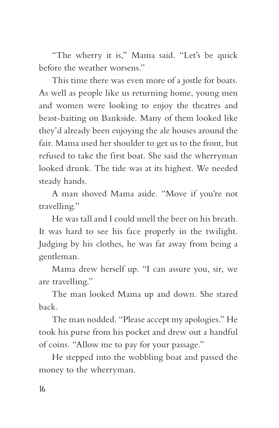"The wherry it is," Mama said. "Let's be quick before the weather worsens"

This time there was even more of a jostle for boats. As well as people like us returning home, young men and women were looking to enjoy the theatres and beast-baiting on Bankside. Many of them looked like they'd already been enjoying the ale houses around the fair. Mama used her shoulder to get us to the front, but refused to take the first boat. She said the wherryman looked drunk. The tide was at its highest. We needed steady hands.

A man shoved Mama aside. "Move if you're not travelling."

He was tall and I could smell the beer on his breath. It was hard to see his face properly in the twilight. Judging by his clothes, he was far away from being a gentleman.

Mama drew herself up. "I can assure you, sir, we are travelling."

The man looked Mama up and down. She stared back.

The man nodded. "Please accept my apologies." He took his purse from his pocket and drew out a handful of coins. "Allow me to pay for your passage."

He stepped into the wobbling boat and passed the money to the wherryman.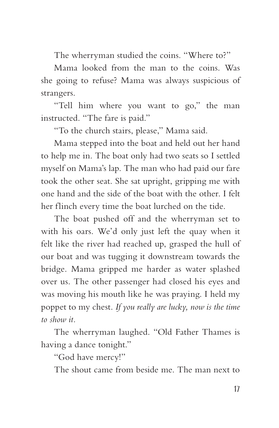The wherryman studied the coins. "Where to?"

Mama looked from the man to the coins. Was she going to refuse? Mama was always suspicious of strangers.

"Tell him where you want to go," the man instructed. "The fare is paid."

"To the church stairs, please," Mama said.

Mama stepped into the boat and held out her hand to help me in. The boat only had two seats so I settled myself on Mama's lap. The man who had paid our fare took the other seat. She sat upright, gripping me with one hand and the side of the boat with the other. I felt her flinch every time the boat lurched on the tide.

The boat pushed off and the wherryman set to with his oars. We'd only just left the quay when it felt like the river had reached up, grasped the hull of our boat and was tugging it downstream towards the bridge. Mama gripped me harder as water splashed over us. The other passenger had closed his eyes and was moving his mouth like he was praying. I held my poppet to my chest. *If you really are lucky, now is the time to show it.*

The wherryman laughed. "Old Father Thames is having a dance tonight."

"God have mercy!"

The shout came from beside me. The man next to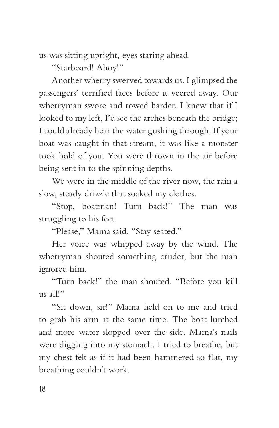us was sitting upright, eyes staring ahead.

"Starboard! Ahoy!"

Another wherry swerved towards us. I glimpsed the passengers' terrified faces before it veered away. Our wherryman swore and rowed harder. I knew that if I looked to my left, I'd see the arches beneath the bridge; I could already hear the water gushing through. If your boat was caught in that stream, it was like a monster took hold of you. You were thrown in the air before being sent in to the spinning depths.

We were in the middle of the river now, the rain a slow, steady drizzle that soaked my clothes.

"Stop, boatman! Turn back!" The man was struggling to his feet.

"Please," Mama said. "Stay seated."

Her voice was whipped away by the wind. The wherryman shouted something cruder, but the man ignored him.

"Turn back!" the man shouted. "Before you kill us all!"

"Sit down, sir!" Mama held on to me and tried to grab his arm at the same time. The boat lurched and more water slopped over the side. Mama's nails were digging into my stomach. I tried to breathe, but my chest felt as if it had been hammered so flat, my breathing couldn't work.